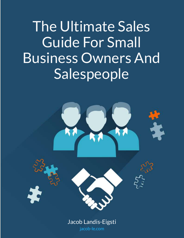The Ultimate Sales Guide For Small Business Owners And Salespeople

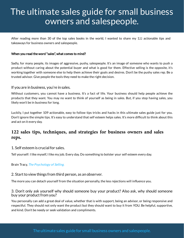After reading more than 30 of the top sales books in the world, I wanted to share my 122 actionable tips and takeaways for business owners and salespeople.

#### When you read the word "sales", what comes to mind?

Sadly, for many people, its images of aggressive, pushy, salespeople. It's an image of someone who wants to push a product without caring about the potential buyer and what is good for them. Effective selling is the opposite, it's working together with someone else to help them achieve their goals and desires. Don't be the pushy sales rep. Be a trusted advisor. Give people the tools they need to make the right decision.

### If you are in business, you're in sales.

Without customers, you cannot have a business. It's a fact of life. Your business should help people achieve the products that they want. You may no want to think of yourself as being in sales. But, if you stop having sales, you likely won't be in business for long.

Luckily, I put together 109 actionable, easy to follow tips tricks and hacks in this ultimate sales guide just for you. Don't ignore the simple tips. It's easy to understand that self esteem helps sales. It's more difficult to think about this and act on it every day.

# **122 sales tips, techniques, and strategies for business owners and sales reps.**

#### 1. Self esteem is crucial for sales.

Tell yourself: I like myself, I like my job. Every day. Do something to bolster your self esteem every day.

Brain Tracy, [The Psychology of Selling.](https://www.goodreads.com/book/show/115625.The_Psychology_of_Selling)

#### 2. Start to view things from third person, as an observer.

The more you can detach yourself from the situation personally, the less rejections will influence you.

### 3. Don't only ask yourself why should someone buy your product? Also ask, why should someone buy your product from you?

You personally can add a great deal of value, whether that is with support, being an advisor, or being responsive and respectful. They should not only want the product but they should want to buy it from YOU. Be helpful, supportive, and kind. Don't be needy or seek validation and compliments.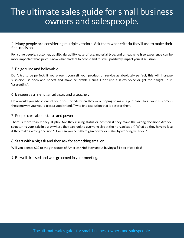### 4. Many people are considering multiple vendors. Ask them what criteria they'll use to make their final decision.

For some people, customer, quality, durability, ease of use, material type, and a headache free experience can be more important than price. Know what matters to people and this will positively impact your discussion.

### 5. Be genuine and believable.

Don't try to be perfect. If you present yourself your product or service as absolutely perfect, this will increase suspicion. Be open and honest and make believable claims. Don't use a salesy voice or get too caught up in "presenting".

### 6. Be seen as a friend, an advisor, and a teacher.

How would you advise one of your best friends when they were hoping to make a purchase. Treat your customers the same way you would treat a good friend. Try to find a solution that is best for them.

#### 7. People care about status and power.

There is more than money at play. Are they risking status or position if they make the wrong decision? Are you structuring your sale in a way where they can look to everyone else at their organization? What do they have to lose if they make a wrong decision? How can you help them gain power or status by working with you?

# 8. Start with a big ask and then ask for something smaller.

Will you donate \$30 to the girl scouts of America? No? How about buying a \$4 box of cookies?

# 9. Be well dressed and well groomed in your meeting.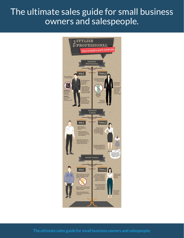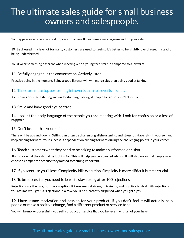Your appearance is people's first impression of you. It can make a very large impact on your sale.

10. Be dressed in a level of formality customers are used to seeing. It's better to be slightly overdressed instead of being underdressed.

You'd wear something different when meeting with a young tech startup compared to a law firm.

### 11. Be fully engaged in the conversation. Actively listen.

Practice being in the moment. Being a good listener will win more sales than being good at talking.

# 12. [There are more top performing introverts than extroverts in sales.](https://www.inc.com/geoffrey-james/first-90-days-the-surprising-reason-introverts-are-better-at-sales.html)

It all comes down to listening and understanding. Talking at people for an hour isn't effective.

13. Smile and have good eye contact.

14. Look at the body language of the people you are meeting with. Look for confusion or a loss of rapport.

#### 15. Don't lose faith in yourself.

There will be ups and downs. Selling can often be challenging, disheartening, and stressful. Have faith in yourself and keep pushing forward. Your success is dependent on pushing forward during the challenging points in your career.

# 16. Teach customers what they need to be asking to make an informed decision

Illuminate what they should be looking for. This will help you be a trusted advisor. It will also mean that people won't choose a competitor because they missed something important.

# 17. If you confuse you'll lose. Complexity kills execution. Simplicity is more difficult but it's crucial.

#### 18. To be successful, you need to learn to stay strong after 100 rejections.

Rejections are the rule, not the exception. It takes mental strength, training, and practice to deal with rejections. If you assume we'll get 100 rejections in a row, you'll be pleasantly surprised when you get a yes.

### 19. Have insane motivation and passion for your product. If you don't feel it will actually help people or make a positive change, nd a different product or service to sell.

You will be more successful if you sell a product or service that you believe in with all of your heart.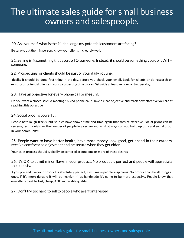# 20. Ask yourself, what is the #1 challenge my potential customers are facing?

Be sure to ask them in person. Know your clients incredibly well.

21. Selling isn't something that you do TO someone. Instead, it should be something you do it WITH someone.

# 22. Prospecting for clients should be part of your daily routine.

Ideally, it should be done first thing in the day, before you check your email. Look for clients or do research on existing or potential clients in your prospecting time blocks. Set aside at least an hour or two per day.

# 23. Have an objective for every phone call or meeting.

Do you want a closed sale? A meeting? A 2nd phone call? Have a clear objective and track how effective you are at reaching this objective.

# 24. Social proof is powerful.

People hate laugh tracks, but studies have shown time and time again that they're effective. Social proof can be reviews, testimonials, or the number of people in a restaurant. In what ways can you build up buzz and social proof in your community?

25. People want to have better health, have more money, look good, get ahead in their careers, receive comfort and enjoyment and be secure when they get older.

Your sales process should typically be centered around one or more of these desires.

### 26. It's OK to admit minor flaws in your product. No product is perfect and people will appreciate the honesty.

If you pretend like your product is absolutely perfect, it will make people suspicious. No product can be all things at once. If it's more durable it will be heavier. If it's handmade it's going to be more expensive. People know that everything can't be fast, cheap, AND incredible quality.

# 27. Don't try too hard to sell to people who aren't interested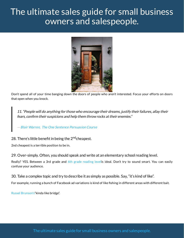

Don't spend all of your time banging down the doors of people who aren't interested. Focus your efforts on doors that open when you knock.

11. "People will do anything for those who encourage their dreams, justify their failures, allay their fears, confirm their suspicions and help them throw rocks at their enemies."

— [Blair Warren, The One Sentence Persuasion Course](http://www.blairwarren.com/one-sentence-persuasion/)

# 28. There's little benefit in being the 2<sup>nd</sup>cheapest.

2nd cheapest is a terrible position to be in.

29. Over-simply. Often, you should speak and write at an elementary school reading level.

Really? YES. Between a 3rd grade and [6th grade reading leveli](https://www.printwand.com/blog/is-your-business-writing-too-smart-for-its-own-good)s ideal. Don't try to sound smart. You can easily confuse your audience.

30. Take a complex topic and try to describe it as simply as possible. Say, "it's kind of like".

For example, running a bunch of Facebook ad variations is kind of like fishing in different areas with different bait.

[Russel Brunson's"](http://www.russellbrunson.com/hi)kinda like bridge".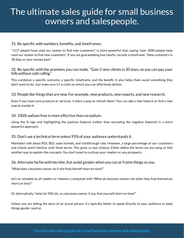# 31. Be specific with numbers, benefits, and timeframes.

"1117 people have used our system to find new customers" is more powerful than saying "over 1000 people have used our system to find new customers". If you are guaranteeing fast results, include a timeframe. "New customers in 30 days or your money back."

### 32. Be specific with the promises you can make. "Gain 2 new clients in 30 days, so you can pay your bills without cold calling."

This combines a specific outcome, a specific timeframe, and the benefit. It also helps them avoid something they don't want to do. Just make sure it's a claim on which you can effectively deliver.

#### 33. People like things that are new. For example, new products, new reports, and new research.

Even if you have core products or services, is there a way to refresh them? You can add a new feature or find a new way to market it.

#### 34. 100% sodium free is more effective than no sodium.

Using the % sign and highlighting the positive features (rather than excluding the negative features) is a more powerful approach.

#### 35. Don't use a technical term unless 95% of your audience understands it.

Marketers talk about ROI, SEO, sales funnels, and clickthrough rate. However, a large percentage of our customers and clients aren't familiar with these terms. This gives us two choices. Either define the terms we are using or find another way to explain the concepts. You don't want to confuse your readers or you prospects.

#### 36. Alternate he/his with her/she, but avoid gender when you can or frame things as you.

"What does a business owner do if she finds herself short on time?"

Isn't as relatable to all readers or listeners, compared with "What do business owners do when they find themselves short on time?"

Or alternatively, "what do YOU do, as a business owner, if you find yourself short on time?"

Unless you are telling the story of an actual person, it's typically better to speak directly to your audience or keep things gender neutral.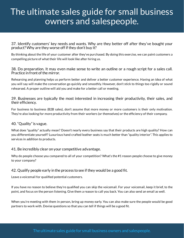37. Identify customers' key needs and wants. Why are they better off after they've bought your product? Why are they worse off if they don't buy it?

By thinking about the life of your customer after they've purchased. By doing this exercise, we can paint customers a compelling picture of what their life will look like after hiring us.

38. Do preparation. It may even make sense to write an outline or a rough script for a sales call. Practice in front of the mirror.

Rehearsing and planning helps us perform better and deliver a better customer experience. Having an idea of what you will say will make the conversation go quickly and smoothly. However, don't stick to things too rigidly or sound rehearsed. A proper outline will aid you and make for a better call or meeting.

39. Businesses are typically the most interested in increasing their productivity, their sales, and their efficiency.

For business to business (B2B sales), don't assume that more money or more customers is their only motivation. They're also looking for more productivity from their workers (or themselves) or the efficiency of their company.

#### 40. "Quality" is vague.

What does "quality" actually mean? Doesn't nearly every business say that their products are high quality? How can you differentiate yourself? Luxurious hand crafted leather seats is much better than "quality interior". This applies to services in addition to products.

#### 41. Be incredibly clear on your competitive advantage.

Why do people choose you compared to all of your competition? What's the #1 reason people choose to give money to your company?

#### 42. Qualify people early in the process to see if they would be a good fit.

Leave a voicemail for qualified potential customers.

If you have no reason to believe they're qualified you can skip the voicemail. For your voicemail, keep it brief, to the point, and focus on the person listening. Give them a reason to call you back. You can also send an email as well.

When you're meeting with them in person, bring up money early. You can also make sure the people would be good partners to work with. Devise questions so that you can tell if things will be a good fit.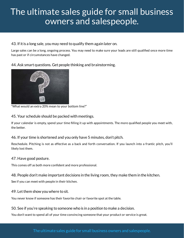# 43. If it is a long sale, you may need to qualify them again later on.

Large sales can be a long, ongoing process. You may need to make sure your leads are still qualified once more time has past or if circumstances have changed.

44. Ask smart questions. Get people thinking and brainstorming.



"What would an extra 20% mean to your bottom line?"

45. Your schedule should be packed with meetings.

If your calendar is empty, spend your time filling it up with appointments. The more qualified people you meet with, the better.

# 46. If your time is shortened and you only have 5 minutes, don't pitch.

Reschedule. Pitching is not as effective as a back and forth conversation. If you launch into a frantic pitch, you'll likely lost them.

# 47. Have good posture.

This comes off as both more confident and more professional.

48. People don't make important decisions in the living room, they make them in the kitchen.

See if you can meet with people in their kitchen.

# 49. Let them show you where to sit.

You never know if someone has their favorite chair or favorite spot at the table.

# 50. See if you're speaking to someone who is in a position to make a decision.

You don't want to spend all of your time convincing someone that your product or service is great.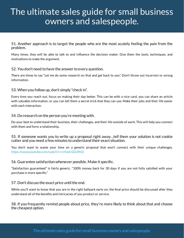51. Another approach is to target the people who are the most acutely feeling the pain from the problem.

Many times, they will be able to talk to and influence the decision maker. Give them the tools, techniques, and motivations to make the argument.

# 52. You don't need to have the answer to every question.

There are times to say "Let me do some research on that and get back to you". Don't throw out incorrect or wrong information.

# 53. When you follow up, don't simply "check in".

Every time you reach out, focus on making their day better. This can be with a nice card, you can share an article with valuable information, or you can tell them a secret trick that they can use. Make their jobs and their life easier with each interaction.

# 54. Do research on the person you're meeting with.

Do your best to understand their business, their challenges, and their life outside of work. This will help you connect with them and form a relationship.

### 55. If someone wants you to write up a proposal right away…tell them your solution is not cookie cutter and you need a few minutes to understand their exact situation.

You don't want to waste your time on a generic proposal that won't connect with their unique challenges. <https://www.youtube.com/watch?v=cHveCGDZfhQ>

# 56. Guarantee satisfaction whenever possible. Make it specific.

"Satisfaction guaranteed" is fairly generic. "100% money back for 30 days if you are not fully satisfied with your purchase is more specific."

# 57. Don't discuss the exact price until the end.

While you'll want to know that you are in the right ballpark early on, the final price should be discussed after they understand all of the benefits and intricacies of you product or service.

58. If you frequently remind people about price, they're more likely to think about that and choose the cheapest option.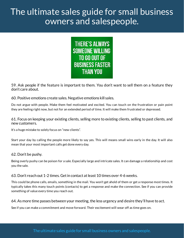

59. Ask people if the feature is important to them. You don't want to sell them on a feature they don't care about.

60. Positive emotions create sales. Negative emotions kill sales.

Do not argue with people. Make them feel motivated and excited. You can touch on the frustration or pain point they are feeling right now, but not for an extended period of time. It will make them frustrated or depressed.

61. Focus on keeping your existing clients, selling more to existing clients, selling to past clients, and new customers.

It's a huge mistake to solely focus on "new clients".

Start your day by calling the people more likely to say yes. This will means small wins early in the day. It will also mean that your most important calls get done every day.

#### 62. Don't be pushy.

Being overly pushy can be poison for a sale. Especially large and intricate sales. It can damage a relationship and cost you the sale.

# 63. Don't reach out 1-2 times. Get in contact at least 10 times over 4-6 weeks.

This could be phone calls, emails, something in the mail. You won't get ahold of them or get a response most times. It typically takes this many touch points (contacts) to get a response and make the connection. See if you can provide something of value every time you reach out.

#### 64. As more time passes between your meeting, the less urgency and desire they'll have to act.

See if you can make a commitment and move forward. Their excitement will wear off as time goes on.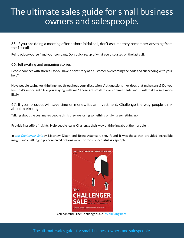65. If you are doing a meeting after a short initial call, don't assume they remember anything from the 1st call.

Reintroduce yourself and your company. Do a quick recap of what you discussed on the last call.

66. Tell exciting and engaging stories.

People connect with stories. Do you have a brief story of a customer overcoming the odds and succeeding with your help?

Have people saying (or thinking) yes throughout your discussion. Ask questions like, does that make sense? Do you feel that's important? Are you staying with me? These are small micro commitments and it will make a sale more likely.

67. If your product will save time or money, it's an investment. Challenge the way people think about marketing.

Talking about the cost makes people think they are losing something or giving something up.

Provide incredible insights. Help people learn. Challenge their way of thinking about their problem.

In [the Challenger Sale,](https://www.challengerinc.com/about) by Matthew Dixon and Brent Adamson, they found it was those that provided incredible insight and challenged preconceived notions were the most successful salespeople.



You can find "The Challenger Sale" [by clicking here.](https://www.goodreads.com/book/show/11910902-the-challenger-sale)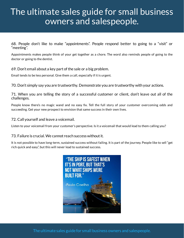68. People don't like to make "appointments". People respond better to going to a "visit" or "meeting".

Appointments makes people think of your get together as a chore. The word also reminds people of going to the doctor or going to the dentist.

# 69. Don't email about a key part of the sale or a big problem.

Email tends to be less personal. Give them a call, especially if it is urgent.

70. Don't simply say you are trustworthy. Demonstrate you are trustworthy with your actions.

71. When you are telling the story of a successful customer or client, don't leave out all of the challenges.

People know there's no magic wand and no easy fix. Tell the full story of your customer overcoming odds and succeeding. Get your new prospect to envision that same success in their own lives.

# 72. Call yourself and leave a voicemail.

Listen to your voicemail from your customer's perspective. Is it a voicemail that would lead to them calling you?

# 73. Failure is crucial. We cannot reach success without it.

It is not possible to have long-term, sustained success without failing. It is part of the journey. People like to sell "get rich quick and easy", but this will never lead to sustained success.

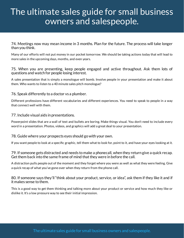74. Meetings now may mean income in 3 months. Plan for the future. The process will take longer than you think.

Many of our efforts will not put money in our pocket tomorrow. We should be taking actions today that will lead to more sales in the upcoming days, months, and even years.

### 75. When you are presenting, keep people engaged and active throughout. Ask them lots of questions and watch for people losing interest.

A sales presentation that is simply a monologue will bomb. Involve people in your presentation and make it about them. Who wants to listen to a 40 minute sales pitch monologue?

# 76. Speak differently to a doctor vs a plumber.

Different professions have different vocabularies and different experiences. You need to speak to people in a way that connect well with them.

#### 77. Include visual aids in presentations.

Powerpoint slides that are a wall of text and bullets are boring. Make things visual. You don't need to include every word in a presentation. Photos, videos, and graphics will add a great deal to your presentation.

#### 78. Guide where your prospects eyes should go with your own.

If you want people to look at a specific graphic, tell them what to look for, point to it, and have your eyes looking at it.

### 79. If someone gets distracted and needs to make a phonecall, when they return give a quick recap. Get them back into the same frame of mind that they were in before the call.

A distraction pulls people out of the moment and they forget where you were as well as what they were feeling. Give a quick recap of what you've gone over when they return from the phone call.

#### 80. If someone says they'll "think about your product, service, or idea", ask them if they like it and if it makes sense to them.

This is a good way to get them thinking and talking more about your product or service and how much they like or dislike it. It's a low pressure way to see their initial impression.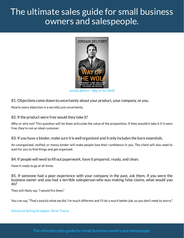

81. Objections come down to uncertainty about your product, your company, or you.

Nearly every objection is a secretly just uncertainty.

### 82. If the product were free would they take it?

Why or why not? This question will let them articulate the value of the proposition. If they wouldn't take it if it were free, they're not an ideal customer.

83. If you have a binder, make sure it is well organized and it only includes the bare essentials.

An unorganized, stuffed, or messy binder will make people lose their confidence in you. The client will also need to wait for you to find things and get organized.

#### 84. If people will need to fill out paperwork, have it prepared, ready, and clean.

Have it ready to go at all times.

85. If someone had a poor experience with your company in the past, ask them, if you were the business owner and you had a terrible salesperson who was making false claims, what would you do?

They will likely say. "I would fire them."

You can say, "That's exactly what we did. I'm much different and I'll do a much better job, so you don't need to worry".

#### [Advanced Selling Strategies- Brian Tracey](https://www.briantracy.com/sales_training/)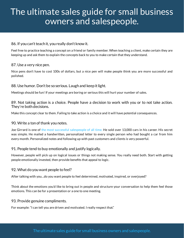# 86. If you can't teach it, you really don't know it.

Feel free to practice teaching a concept on a friend or family member. When teaching a client, make certain they are keeping up and ask them to explain the concepts back to you to make certain that they understand.

### 87. Use a very nice pen.

Nice pens don't have to cost 100s of dollars, but a nice pen will make people think you are more successful and polished.

# 88. Use humor. Don't be so serious. Laugh and keep it light.

Meetings should be fun! If your meetings are boring or serious this will hurt your number of sales.

89. Not taking action is a choice. People have a decision to work with you or to not take action. They're both decisions.

Make this concept clear to them. Failing to take action is a choice and it will have potential consequences.

# 90. Write a ton of thank you notes.

Joe Girrard is one of [the most successful salespeople of all time. H](https://en.wikipedia.org/wiki/Joe_Girard)e sold over 13,000 cars in his career. His secret was simple. He mailed a handwritten, personalized letter to every single person who had bought a car from him every month. Personalized notes and following up with past customers and clients is very powerful.

# 91. People tend to buy emotionally and justify logically.

However, people will pick up on logical issues or things not making sense. You really need both. Start with getting people emotionally invested, then provide benefits that appeal to logic.

# 92. What do you want people to feel?

After talking with you…do you want people to feel determined, motivated, inspired, or overjoyed?

Think about the emotions you'd like to bring out in people and structure your conversation to help them feel those emotions. This can be for a presentation or a one to one meeting.

#### 93. Provide genuine compliments.

For example: "I can tell you are driven and motivated. I really respect that."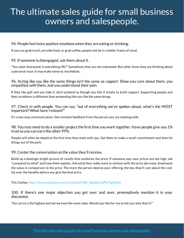### 94. People feel more positive emotions when they are eating or drinking.

If you can grab lunch, provide food, or grab coffee, people will be in a better frame of mind.

95. If someone is disengaged, ask them about it.

"You seem distracted. Is everything OK?" Sometimes they are not interested. But other times they are thinking about a personal issue. It may make sense to reschedule.

96. Acting like you like the same things isn't the same as rapport. Show you care about them, you empathize with them, and you understand their pain.

If they like golf and you hate it, don't pretend as though you like it simply to build rapport. Supporting people and their problems is different than pretending like you like the same things.

97. Check in with people. You can say, "out of everything we've spoken about, what's the MOST important? What have I missed?"

It's a two way communication. Get constant feedback from the person you are meeting with.

98. You may need to do a smaller project the first time you work together. Have people give you 1% trust so you can earn the other 99%.

People will often be skeptical the first time they meet with you. Get them to make a small commitment and then hit things out of the park.

99. Center the conversation on the value they'll receive.

Build up a blazingly bright picture of results that outshines the price. If someone says your prices are too high, ask "compared to what" and have them explain. Ask what they really want to achieve with the price decrease. Emphasize the value in comparison to the price. The more the person desires your offering, the less they'll care about the cost. Go over the benefits before you give the final price.

Tim Conley, [https://www.youtube.com/channel/UC9dk\\_Gpjekbus6P0r9gAgHw](https://www.youtube.com/channel/UC9dk_Gpjekbus6P0r9gAgHw)

100. If there's one major objection you get over and over, preemptively mention it in your discussion.

"Our price is the highest and yet we have the most sales. Would you like for me to tell you why that is?"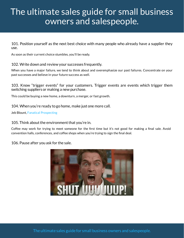101. Position yourself as the next best choice with many people who already have a supplier they use.

As soon as their current choice stumbles, you'll be ready.

102. Write down and review your successes frequently.

When you have a major failure, we tend to think about and overemphasize our past failures. Concentrate on your past successes and believe in your future success as well.

103. Know "trigger events" for your customers. Trigger events are events which trigger them switching suppliers or making a new purchase.

This could be buying a new home, a downturn, a merger, or fast growth.

104. When you're ready to go home, make just one more call.

Jeb Blount, [Fanatical Prospecting](https://www.amazon.com/Fanatical-Prospecting-Conversations-Leveraging-Telephone-ebook/dp/B01617VD3Ihttps://www.amazon.com/Fanatical-Prospecting-Conversations-Leveraging-Telephone-ebook/dp/B01617VD3I)

#### 105. Think about the environment that you're in.

Coffee may work for trying to meet someone for the first time but it's not good for making a final sale. Avoid convention halls, conferences, and coffee shops when you're trying to sign the final deal.

106. Pause after you ask for the sale.

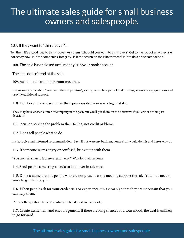107. If they want to "think it over"…

Tell them it's a good idea to think it over. Ask them "what did you want to think over?" Get to the root of why they are not ready now. Is it the companies' integrity? Is it the return on their investment? Is it to do a price comparison?

108. The sale is not closed until money is in your bank account.

The deal doesn't end at the sale.

109. Ask to be a part of important meetings.

If someone just needs to "meet with their supervisor", see if you can be a part of that meeting to answer any questions and provide additional support.

110. Don't ever make it seem like their previous decision was a big mistake.

They may have chosen a inferior company in the past, but you'll put them on the defensive if you critici e their past decisions.

111. ocus on solving the problem their facing, not credit or blame.

112. Don't tell people what to do.

Instead, give and informed recommendation. Say, "if this were my business/house etc, I would do this and here's why...".

113. If someone seems angry or confused, bring it up with them.

"You seem frustrated. Is there a reason why?" Wait for their response.

114. Send people a meeting agenda to look over in advance.

115. Don't assume that the people who are not present at the meeting support the sale. You may need to work to get their buy in.

116. When people ask for your credentials or experience, it's a clear sign that they are uncertain that you can help them.

Answer the question, but also continue to build trust and authority.

117. Create excitement and encouragement. If there are long silences or a sour mood, the deal is unlikely to go forward.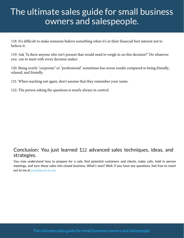118. It's difficult to make someone believe something when it's in their financial best interest not to believe it.

119. Ask "Is there anyone who isn't present that would need to weigh in on this decision?" Do whatever you can to meet with every decision maker.

120. Being overly "corporate" or "professional" sometimes has worse results compared to being friendly, relaxed, and friendly.

121. When reaching out again, don't assume that they remember your name.

122. The person asking the questions is nearly always in control.

# Conclusion: You just learned 122 advanced sales techniques, ideas, and strategies.

You now understand how to prepare for a sale, find potential customers and clients, make calls, hold in person meetings, and turn these sales into closed business. What's next? Well, if you have any questions, feel free to reach out to me at jacob@jacob-le.com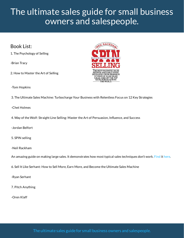Book List:

1. The Psychology of Selling

-Brian Tracy

2. How to Master the Art of Selling



-Tom Hopkins

3. The Ultimate Sales Machine: Turbocharge Your Business with Relentless Focus on 12 Key Strategies

-Chet Holmes

4. Way of the Wolf: Straight Line Selling: Master the Art of Persuasion, Influence, and Success

-Jordan Belfort

5. SPIN selling

-Neil Rackham

An amazing guide on making large sales. It demonstrates how most typical sales techniques don't work. [Find](https://www.amazon.com/SPIN-Selling-Neil-Rackham/dp/0070511136/ref=asc_df_0070511136/?tag=hyprod-20&linkCode=df0&hvadid=312025907421&hvpos=1o1&hvnetw=g&hvrand=9667980226634102813&hvpone=&hvptwo=&hvqmt=&hvdev=c&hvdvcmdl=&hvlocint=&hvlocphy=9028789&hvtargid=pla-434394963105&psc=1) it [here](https://www.amazon.com/SPIN-Selling-Neil-Rackham/dp/0070511136/ref=asc_df_0070511136/?tag=hyprod-20&linkCode=df0&hvadid=312025907421&hvpos=1o1&hvnetw=g&hvrand=9667980226634102813&hvpone=&hvptwo=&hvqmt=&hvdev=c&hvdvcmdl=&hvlocint=&hvlocphy=9028789&hvtargid=pla-434394963105&psc=1).

6. Sell It Like Serhant: How to Sell More, Earn More, and Become the Ultimate Sales Machine

-Ryan Serhant

7. Pitch Anything

-Oren Klaff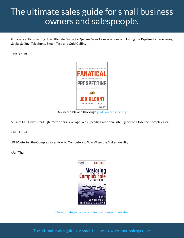8. Fanatical Prospecting: The Ultimate Guide to Opening Sales Conversations and Filling the Pipeline by Leveraging Social Selling, Telephone, Email, Text, and Cold Calling

-Jeb Blount



An incredible and thoroug[h guide on prospecting](https://app.designrr.io/)

9. Sales EQ: How Ultra High Performers Leverage Sales-Specific Emotional Intelligence to Close the Complex Deal

-Jeb Blount

10. Mastering the Complex Sale: How to Compete and Win When the Stakes are High!

-Jeff Thull



[The ultimate guide to complex and competitive sales.](https://www.amazon.com/Mastering-Complex-Sale-Compete-Stakes/dp/0470533110)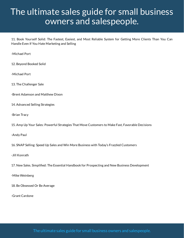11. Book Yourself Solid: The Fastest, Easiest, and Most Reliable System for Getting More Clients Than You Can Handle Even If You Hate Marketing and Selling

-Michael Port

12. Beyond Booked Solid

-Michael Port

13. The Challenger Sale

- -Brent Adamson and Matthew Dixon
- 14. Advanced Selling Strategies
- -Brian Tracy

15. Amp Up Your Sales: Powerful Strategies That Move Customers to Make Fast, Favorable Decisions

-Andy Paul

16. SNAP Selling: Speed Up Sales and Win More Business with Today's Frazzled Customers

-Jill Konrath

17. New Sales. Simplied: The Essential Handbook for Prospecting and New Business Development

-Mike Weinberg

18. Be Obsessed Or Be Average

-Grant Cardone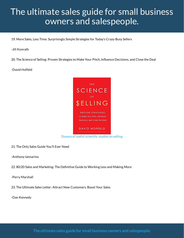19. More Sales, Less Time: Surprisingly Simple Strategies for Today's Crazy-Busy Sellers

-Jill Konrath

20. The Science of Selling: Proven Strategies to Make Your Pitch, Influence Decisions, and Close the Deal

-David Hoffeld



21. The Only Sales Guide You'll Ever Need

-Anthony Iannarino

22. 80/20 Sales and Marketing: The Definitive Guide to Working Less and Making More

-Perry Marshall

23. The Ultimate Sales Letter: Attract New Customers. Boost Your Sales

-Dan Kennedy